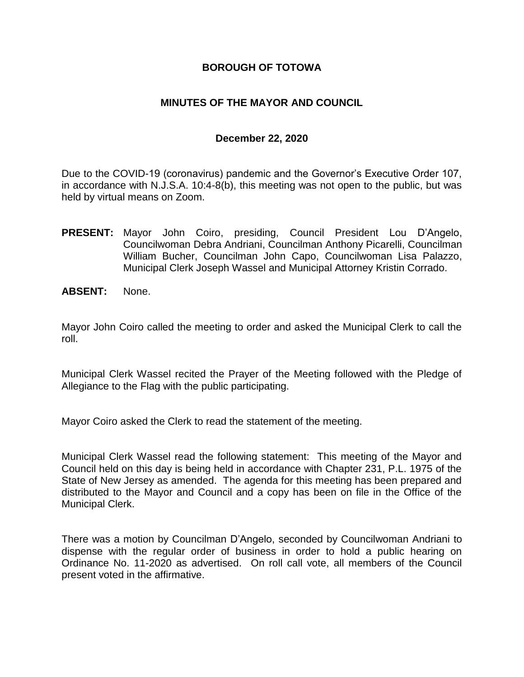# **BOROUGH OF TOTOWA**

# **MINUTES OF THE MAYOR AND COUNCIL**

### **December 22, 2020**

Due to the COVID-19 (coronavirus) pandemic and the Governor's Executive Order 107, in accordance with N.J.S.A. 10:4-8(b), this meeting was not open to the public, but was held by virtual means on Zoom.

- **PRESENT:** Mayor John Coiro, presiding, Council President Lou D'Angelo, Councilwoman Debra Andriani, Councilman Anthony Picarelli, Councilman William Bucher, Councilman John Capo, Councilwoman Lisa Palazzo, Municipal Clerk Joseph Wassel and Municipal Attorney Kristin Corrado.
- **ABSENT:** None.

Mayor John Coiro called the meeting to order and asked the Municipal Clerk to call the roll.

Municipal Clerk Wassel recited the Prayer of the Meeting followed with the Pledge of Allegiance to the Flag with the public participating.

Mayor Coiro asked the Clerk to read the statement of the meeting.

Municipal Clerk Wassel read the following statement: This meeting of the Mayor and Council held on this day is being held in accordance with Chapter 231, P.L. 1975 of the State of New Jersey as amended. The agenda for this meeting has been prepared and distributed to the Mayor and Council and a copy has been on file in the Office of the Municipal Clerk.

There was a motion by Councilman D'Angelo, seconded by Councilwoman Andriani to dispense with the regular order of business in order to hold a public hearing on Ordinance No. 11-2020 as advertised. On roll call vote, all members of the Council present voted in the affirmative.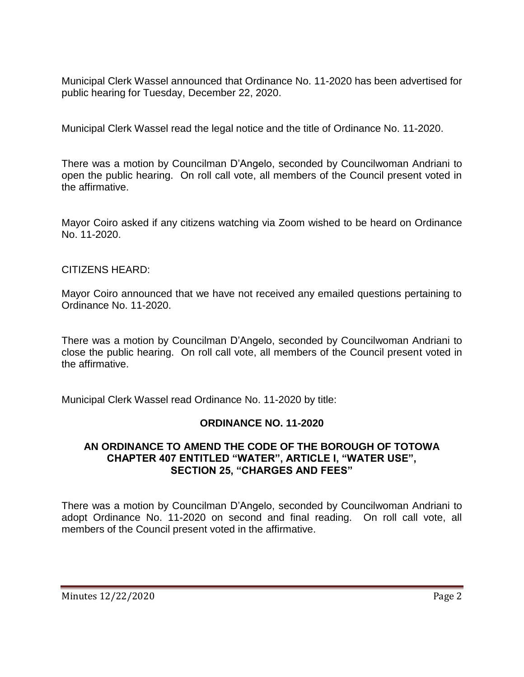Municipal Clerk Wassel announced that Ordinance No. 11-2020 has been advertised for public hearing for Tuesday, December 22, 2020.

Municipal Clerk Wassel read the legal notice and the title of Ordinance No. 11-2020.

There was a motion by Councilman D'Angelo, seconded by Councilwoman Andriani to open the public hearing. On roll call vote, all members of the Council present voted in the affirmative.

Mayor Coiro asked if any citizens watching via Zoom wished to be heard on Ordinance No. 11-2020.

# CITIZENS HEARD:

Mayor Coiro announced that we have not received any emailed questions pertaining to Ordinance No. 11-2020.

There was a motion by Councilman D'Angelo, seconded by Councilwoman Andriani to close the public hearing. On roll call vote, all members of the Council present voted in the affirmative.

Municipal Clerk Wassel read Ordinance No. 11-2020 by title:

# **ORDINANCE NO. 11-2020**

# **AN ORDINANCE TO AMEND THE CODE OF THE BOROUGH OF TOTOWA CHAPTER 407 ENTITLED "WATER", ARTICLE I, "WATER USE", SECTION 25, "CHARGES AND FEES"**

There was a motion by Councilman D'Angelo, seconded by Councilwoman Andriani to adopt Ordinance No. 11-2020 on second and final reading. On roll call vote, all members of the Council present voted in the affirmative.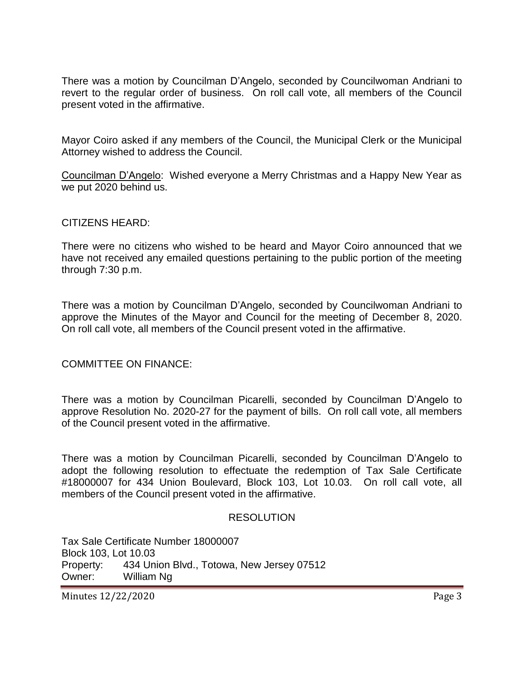There was a motion by Councilman D'Angelo, seconded by Councilwoman Andriani to revert to the regular order of business. On roll call vote, all members of the Council present voted in the affirmative.

Mayor Coiro asked if any members of the Council, the Municipal Clerk or the Municipal Attorney wished to address the Council.

Councilman D'Angelo: Wished everyone a Merry Christmas and a Happy New Year as we put 2020 behind us.

#### CITIZENS HEARD:

There were no citizens who wished to be heard and Mayor Coiro announced that we have not received any emailed questions pertaining to the public portion of the meeting through 7:30 p.m.

There was a motion by Councilman D'Angelo, seconded by Councilwoman Andriani to approve the Minutes of the Mayor and Council for the meeting of December 8, 2020. On roll call vote, all members of the Council present voted in the affirmative.

COMMITTEE ON FINANCE:

There was a motion by Councilman Picarelli, seconded by Councilman D'Angelo to approve Resolution No. 2020-27 for the payment of bills. On roll call vote, all members of the Council present voted in the affirmative.

There was a motion by Councilman Picarelli, seconded by Councilman D'Angelo to adopt the following resolution to effectuate the redemption of Tax Sale Certificate #18000007 for 434 Union Boulevard, Block 103, Lot 10.03. On roll call vote, all members of the Council present voted in the affirmative.

#### RESOLUTION

Tax Sale Certificate Number 18000007 Block 103, Lot 10.03 Property: 434 Union Blvd., Totowa, New Jersey 07512 Owner: William Ng

Minutes 12/22/2020 Page 3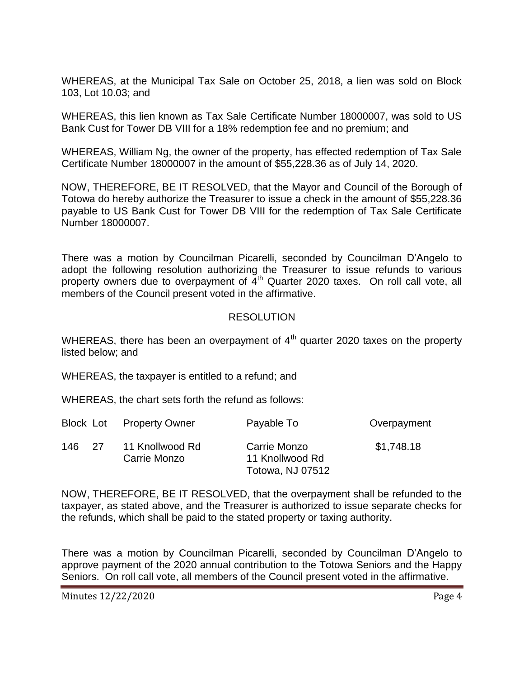WHEREAS, at the Municipal Tax Sale on October 25, 2018, a lien was sold on Block 103, Lot 10.03; and

WHEREAS, this lien known as Tax Sale Certificate Number 18000007, was sold to US Bank Cust for Tower DB VIII for a 18% redemption fee and no premium; and

WHEREAS, William Ng, the owner of the property, has effected redemption of Tax Sale Certificate Number 18000007 in the amount of \$55,228.36 as of July 14, 2020.

NOW, THEREFORE, BE IT RESOLVED, that the Mayor and Council of the Borough of Totowa do hereby authorize the Treasurer to issue a check in the amount of \$55,228.36 payable to US Bank Cust for Tower DB VIII for the redemption of Tax Sale Certificate Number 18000007.

There was a motion by Councilman Picarelli, seconded by Councilman D'Angelo to adopt the following resolution authorizing the Treasurer to issue refunds to various property owners due to overpayment of 4<sup>th</sup> Quarter 2020 taxes. On roll call vote, all members of the Council present voted in the affirmative.

# **RESOLUTION**

WHEREAS, there has been an overpayment of  $4<sup>th</sup>$  quarter 2020 taxes on the property listed below; and

WHEREAS, the taxpayer is entitled to a refund; and

WHEREAS, the chart sets forth the refund as follows:

|              | <b>Block Lot</b> Property Owner | Payable To                                                 | Overpayment |
|--------------|---------------------------------|------------------------------------------------------------|-------------|
| 146.<br>- 27 | 11 Knollwood Rd<br>Carrie Monzo | Carrie Monzo<br>11 Knollwood Rd<br><b>Totowa, NJ 07512</b> | \$1,748.18  |

NOW, THEREFORE, BE IT RESOLVED, that the overpayment shall be refunded to the taxpayer, as stated above, and the Treasurer is authorized to issue separate checks for the refunds, which shall be paid to the stated property or taxing authority.

There was a motion by Councilman Picarelli, seconded by Councilman D'Angelo to approve payment of the 2020 annual contribution to the Totowa Seniors and the Happy Seniors. On roll call vote, all members of the Council present voted in the affirmative.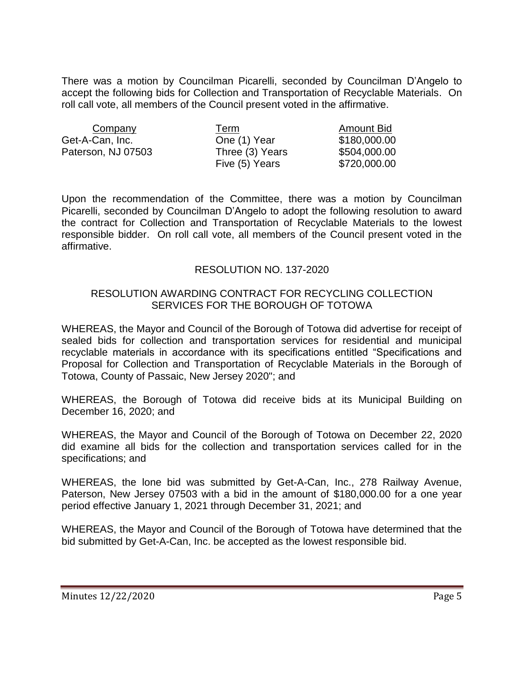There was a motion by Councilman Picarelli, seconded by Councilman D'Angelo to accept the following bids for Collection and Transportation of Recyclable Materials. On roll call vote, all members of the Council present voted in the affirmative.

| Company            | Term            | <b>Amount Bid</b> |
|--------------------|-----------------|-------------------|
| Get-A-Can, Inc.    | One (1) Year    | \$180,000.00      |
| Paterson, NJ 07503 | Three (3) Years | \$504,000.00      |
|                    | Five (5) Years  | \$720,000.00      |

Upon the recommendation of the Committee, there was a motion by Councilman Picarelli, seconded by Councilman D'Angelo to adopt the following resolution to award the contract for Collection and Transportation of Recyclable Materials to the lowest responsible bidder. On roll call vote, all members of the Council present voted in the affirmative.

# RESOLUTION NO. 137-2020

### RESOLUTION AWARDING CONTRACT FOR RECYCLING COLLECTION SERVICES FOR THE BOROUGH OF TOTOWA

WHEREAS, the Mayor and Council of the Borough of Totowa did advertise for receipt of sealed bids for collection and transportation services for residential and municipal recyclable materials in accordance with its specifications entitled "Specifications and Proposal for Collection and Transportation of Recyclable Materials in the Borough of Totowa, County of Passaic, New Jersey 2020"; and

WHEREAS, the Borough of Totowa did receive bids at its Municipal Building on December 16, 2020; and

WHEREAS, the Mayor and Council of the Borough of Totowa on December 22, 2020 did examine all bids for the collection and transportation services called for in the specifications; and

WHEREAS, the lone bid was submitted by Get-A-Can, Inc., 278 Railway Avenue, Paterson, New Jersey 07503 with a bid in the amount of \$180,000.00 for a one year period effective January 1, 2021 through December 31, 2021; and

WHEREAS, the Mayor and Council of the Borough of Totowa have determined that the bid submitted by Get-A-Can, Inc. be accepted as the lowest responsible bid.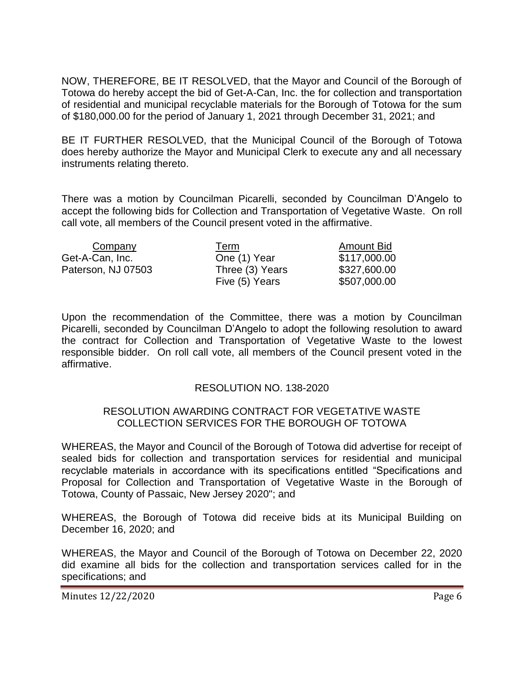NOW, THEREFORE, BE IT RESOLVED, that the Mayor and Council of the Borough of Totowa do hereby accept the bid of Get-A-Can, Inc. the for collection and transportation of residential and municipal recyclable materials for the Borough of Totowa for the sum of \$180,000.00 for the period of January 1, 2021 through December 31, 2021; and

BE IT FURTHER RESOLVED, that the Municipal Council of the Borough of Totowa does hereby authorize the Mayor and Municipal Clerk to execute any and all necessary instruments relating thereto.

There was a motion by Councilman Picarelli, seconded by Councilman D'Angelo to accept the following bids for Collection and Transportation of Vegetative Waste. On roll call vote, all members of the Council present voted in the affirmative.

| Company            | Term            | <b>Amount Bid</b> |
|--------------------|-----------------|-------------------|
| Get-A-Can, Inc.    | One (1) Year    | \$117,000.00      |
| Paterson, NJ 07503 | Three (3) Years | \$327,600.00      |
|                    | Five (5) Years  | \$507,000.00      |

Upon the recommendation of the Committee, there was a motion by Councilman Picarelli, seconded by Councilman D'Angelo to adopt the following resolution to award the contract for Collection and Transportation of Vegetative Waste to the lowest responsible bidder. On roll call vote, all members of the Council present voted in the affirmative.

### RESOLUTION NO. 138-2020

### RESOLUTION AWARDING CONTRACT FOR VEGETATIVE WASTE COLLECTION SERVICES FOR THE BOROUGH OF TOTOWA

WHEREAS, the Mayor and Council of the Borough of Totowa did advertise for receipt of sealed bids for collection and transportation services for residential and municipal recyclable materials in accordance with its specifications entitled "Specifications and Proposal for Collection and Transportation of Vegetative Waste in the Borough of Totowa, County of Passaic, New Jersey 2020"; and

WHEREAS, the Borough of Totowa did receive bids at its Municipal Building on December 16, 2020; and

WHEREAS, the Mayor and Council of the Borough of Totowa on December 22, 2020 did examine all bids for the collection and transportation services called for in the specifications; and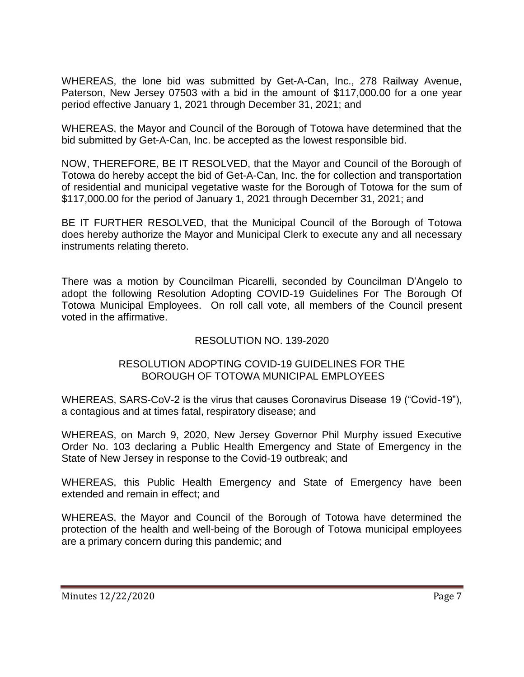WHEREAS, the lone bid was submitted by Get-A-Can, Inc., 278 Railway Avenue, Paterson, New Jersey 07503 with a bid in the amount of \$117,000.00 for a one year period effective January 1, 2021 through December 31, 2021; and

WHEREAS, the Mayor and Council of the Borough of Totowa have determined that the bid submitted by Get-A-Can, Inc. be accepted as the lowest responsible bid.

NOW, THEREFORE, BE IT RESOLVED, that the Mayor and Council of the Borough of Totowa do hereby accept the bid of Get-A-Can, Inc. the for collection and transportation of residential and municipal vegetative waste for the Borough of Totowa for the sum of \$117,000.00 for the period of January 1, 2021 through December 31, 2021; and

BE IT FURTHER RESOLVED, that the Municipal Council of the Borough of Totowa does hereby authorize the Mayor and Municipal Clerk to execute any and all necessary instruments relating thereto.

There was a motion by Councilman Picarelli, seconded by Councilman D'Angelo to adopt the following Resolution Adopting COVID-19 Guidelines For The Borough Of Totowa Municipal Employees. On roll call vote, all members of the Council present voted in the affirmative.

# RESOLUTION NO. 139-2020

# RESOLUTION ADOPTING COVID-19 GUIDELINES FOR THE BOROUGH OF TOTOWA MUNICIPAL EMPLOYEES

WHEREAS, SARS-CoV-2 is the virus that causes Coronavirus Disease 19 ("Covid-19"), a contagious and at times fatal, respiratory disease; and

WHEREAS, on March 9, 2020, New Jersey Governor Phil Murphy issued Executive Order No. 103 declaring a Public Health Emergency and State of Emergency in the State of New Jersey in response to the Covid-19 outbreak; and

WHEREAS, this Public Health Emergency and State of Emergency have been extended and remain in effect; and

WHEREAS, the Mayor and Council of the Borough of Totowa have determined the protection of the health and well-being of the Borough of Totowa municipal employees are a primary concern during this pandemic; and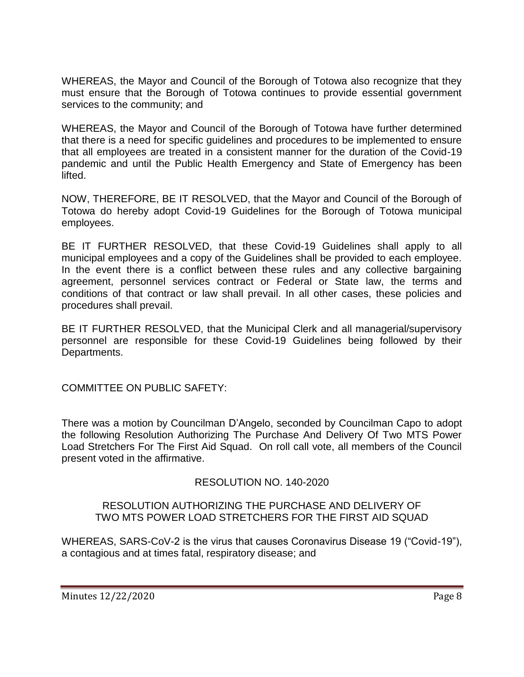WHEREAS, the Mayor and Council of the Borough of Totowa also recognize that they must ensure that the Borough of Totowa continues to provide essential government services to the community; and

WHEREAS, the Mayor and Council of the Borough of Totowa have further determined that there is a need for specific guidelines and procedures to be implemented to ensure that all employees are treated in a consistent manner for the duration of the Covid-19 pandemic and until the Public Health Emergency and State of Emergency has been lifted.

NOW, THEREFORE, BE IT RESOLVED, that the Mayor and Council of the Borough of Totowa do hereby adopt Covid-19 Guidelines for the Borough of Totowa municipal employees.

BE IT FURTHER RESOLVED, that these Covid-19 Guidelines shall apply to all municipal employees and a copy of the Guidelines shall be provided to each employee. In the event there is a conflict between these rules and any collective bargaining agreement, personnel services contract or Federal or State law, the terms and conditions of that contract or law shall prevail. In all other cases, these policies and procedures shall prevail.

BE IT FURTHER RESOLVED, that the Municipal Clerk and all managerial/supervisory personnel are responsible for these Covid-19 Guidelines being followed by their Departments.

COMMITTEE ON PUBLIC SAFETY:

There was a motion by Councilman D'Angelo, seconded by Councilman Capo to adopt the following Resolution Authorizing The Purchase And Delivery Of Two MTS Power Load Stretchers For The First Aid Squad. On roll call vote, all members of the Council present voted in the affirmative.

# RESOLUTION NO. 140-2020

# RESOLUTION AUTHORIZING THE PURCHASE AND DELIVERY OF TWO MTS POWER LOAD STRETCHERS FOR THE FIRST AID SQUAD

WHEREAS, SARS-CoV-2 is the virus that causes Coronavirus Disease 19 ("Covid-19"), a contagious and at times fatal, respiratory disease; and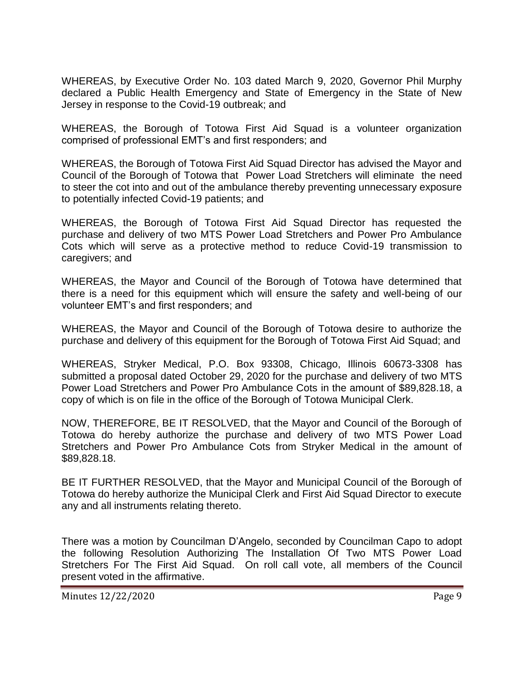WHEREAS, by Executive Order No. 103 dated March 9, 2020, Governor Phil Murphy declared a Public Health Emergency and State of Emergency in the State of New Jersey in response to the Covid-19 outbreak; and

WHEREAS, the Borough of Totowa First Aid Squad is a volunteer organization comprised of professional EMT's and first responders; and

WHEREAS, the Borough of Totowa First Aid Squad Director has advised the Mayor and Council of the Borough of Totowa that Power Load Stretchers will eliminate the need to steer the cot into and out of the ambulance thereby preventing unnecessary exposure to potentially infected Covid-19 patients; and

WHEREAS, the Borough of Totowa First Aid Squad Director has requested the purchase and delivery of two MTS Power Load Stretchers and Power Pro Ambulance Cots which will serve as a protective method to reduce Covid-19 transmission to caregivers; and

WHEREAS, the Mayor and Council of the Borough of Totowa have determined that there is a need for this equipment which will ensure the safety and well-being of our volunteer EMT's and first responders; and

WHEREAS, the Mayor and Council of the Borough of Totowa desire to authorize the purchase and delivery of this equipment for the Borough of Totowa First Aid Squad; and

WHEREAS, Stryker Medical, P.O. Box 93308, Chicago, Illinois 60673-3308 has submitted a proposal dated October 29, 2020 for the purchase and delivery of two MTS Power Load Stretchers and Power Pro Ambulance Cots in the amount of \$89,828.18, a copy of which is on file in the office of the Borough of Totowa Municipal Clerk.

NOW, THEREFORE, BE IT RESOLVED, that the Mayor and Council of the Borough of Totowa do hereby authorize the purchase and delivery of two MTS Power Load Stretchers and Power Pro Ambulance Cots from Stryker Medical in the amount of \$89,828.18.

BE IT FURTHER RESOLVED, that the Mayor and Municipal Council of the Borough of Totowa do hereby authorize the Municipal Clerk and First Aid Squad Director to execute any and all instruments relating thereto.

There was a motion by Councilman D'Angelo, seconded by Councilman Capo to adopt the following Resolution Authorizing The Installation Of Two MTS Power Load Stretchers For The First Aid Squad. On roll call vote, all members of the Council present voted in the affirmative.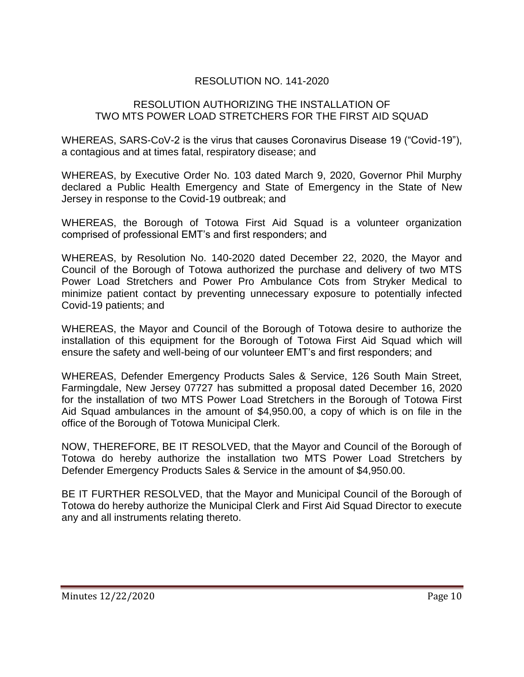# RESOLUTION NO. 141-2020

### RESOLUTION AUTHORIZING THE INSTALLATION OF TWO MTS POWER LOAD STRETCHERS FOR THE FIRST AID SQUAD

WHEREAS, SARS-CoV-2 is the virus that causes Coronavirus Disease 19 ("Covid-19"), a contagious and at times fatal, respiratory disease; and

WHEREAS, by Executive Order No. 103 dated March 9, 2020, Governor Phil Murphy declared a Public Health Emergency and State of Emergency in the State of New Jersey in response to the Covid-19 outbreak; and

WHEREAS, the Borough of Totowa First Aid Squad is a volunteer organization comprised of professional EMT's and first responders; and

WHEREAS, by Resolution No. 140-2020 dated December 22, 2020, the Mayor and Council of the Borough of Totowa authorized the purchase and delivery of two MTS Power Load Stretchers and Power Pro Ambulance Cots from Stryker Medical to minimize patient contact by preventing unnecessary exposure to potentially infected Covid-19 patients; and

WHEREAS, the Mayor and Council of the Borough of Totowa desire to authorize the installation of this equipment for the Borough of Totowa First Aid Squad which will ensure the safety and well-being of our volunteer EMT's and first responders; and

WHEREAS, Defender Emergency Products Sales & Service, 126 South Main Street, Farmingdale, New Jersey 07727 has submitted a proposal dated December 16, 2020 for the installation of two MTS Power Load Stretchers in the Borough of Totowa First Aid Squad ambulances in the amount of \$4,950.00, a copy of which is on file in the office of the Borough of Totowa Municipal Clerk.

NOW, THEREFORE, BE IT RESOLVED, that the Mayor and Council of the Borough of Totowa do hereby authorize the installation two MTS Power Load Stretchers by Defender Emergency Products Sales & Service in the amount of \$4,950.00.

BE IT FURTHER RESOLVED, that the Mayor and Municipal Council of the Borough of Totowa do hereby authorize the Municipal Clerk and First Aid Squad Director to execute any and all instruments relating thereto.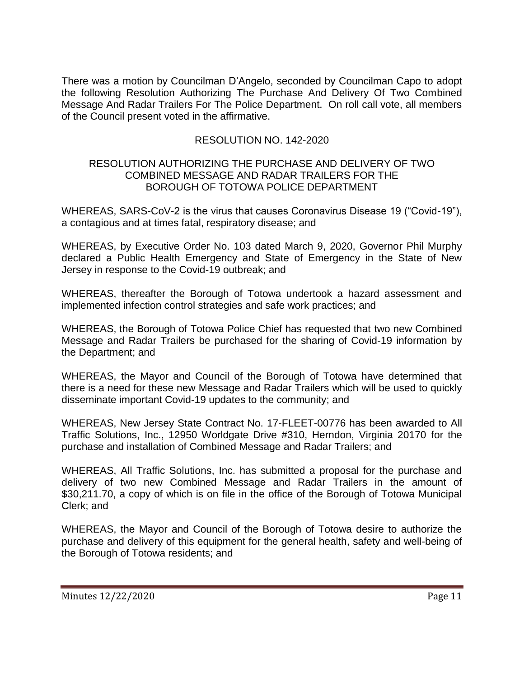There was a motion by Councilman D'Angelo, seconded by Councilman Capo to adopt the following Resolution Authorizing The Purchase And Delivery Of Two Combined Message And Radar Trailers For The Police Department. On roll call vote, all members of the Council present voted in the affirmative.

# RESOLUTION NO. 142-2020

### RESOLUTION AUTHORIZING THE PURCHASE AND DELIVERY OF TWO COMBINED MESSAGE AND RADAR TRAILERS FOR THE BOROUGH OF TOTOWA POLICE DEPARTMENT

WHEREAS, SARS-CoV-2 is the virus that causes Coronavirus Disease 19 ("Covid-19"), a contagious and at times fatal, respiratory disease; and

WHEREAS, by Executive Order No. 103 dated March 9, 2020, Governor Phil Murphy declared a Public Health Emergency and State of Emergency in the State of New Jersey in response to the Covid-19 outbreak; and

WHEREAS, thereafter the Borough of Totowa undertook a hazard assessment and implemented infection control strategies and safe work practices; and

WHEREAS, the Borough of Totowa Police Chief has requested that two new Combined Message and Radar Trailers be purchased for the sharing of Covid-19 information by the Department; and

WHEREAS, the Mayor and Council of the Borough of Totowa have determined that there is a need for these new Message and Radar Trailers which will be used to quickly disseminate important Covid-19 updates to the community; and

WHEREAS, New Jersey State Contract No. 17-FLEET-00776 has been awarded to All Traffic Solutions, Inc., 12950 Worldgate Drive #310, Herndon, Virginia 20170 for the purchase and installation of Combined Message and Radar Trailers; and

WHEREAS, All Traffic Solutions, Inc. has submitted a proposal for the purchase and delivery of two new Combined Message and Radar Trailers in the amount of \$30,211.70, a copy of which is on file in the office of the Borough of Totowa Municipal Clerk; and

WHEREAS, the Mayor and Council of the Borough of Totowa desire to authorize the purchase and delivery of this equipment for the general health, safety and well-being of the Borough of Totowa residents; and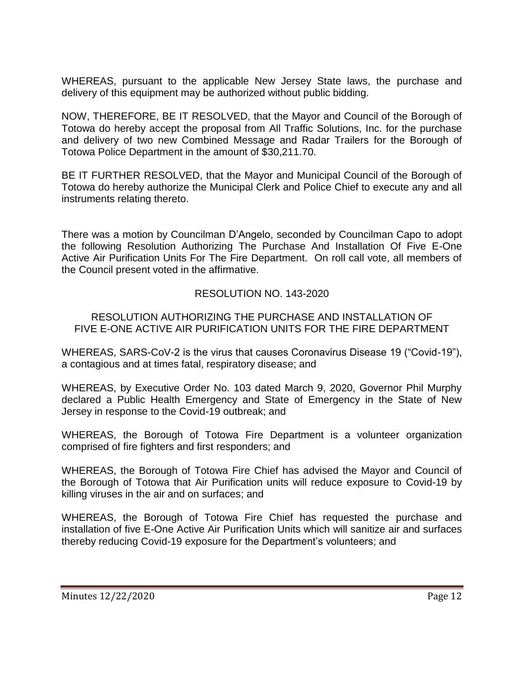WHEREAS, pursuant to the applicable New Jersey State laws, the purchase and delivery of this equipment may be authorized without public bidding.

NOW, THEREFORE, BE IT RESOLVED, that the Mayor and Council of the Borough of Totowa do hereby accept the proposal from All Traffic Solutions, Inc. for the purchase and delivery of two new Combined Message and Radar Trailers for the Borough of Totowa Police Department in the amount of \$30,211.70.

BE IT FURTHER RESOLVED, that the Mayor and Municipal Council of the Borough of Totowa do hereby authorize the Municipal Clerk and Police Chief to execute any and all instruments relating thereto.

There was a motion by Councilman D'Angelo, seconded by Councilman Capo to adopt the following Resolution Authorizing The Purchase And Installation Of Five E-One Active Air Purification Units For The Fire Department. On roll call vote, all members of the Council present voted in the affirmative.

# RESOLUTION NO. 143-2020

### RESOLUTION AUTHORIZING THE PURCHASE AND INSTALLATION OF FIVE E-ONE ACTIVE AIR PURIFICATION UNITS FOR THE FIRE DEPARTMENT

WHEREAS, SARS-CoV-2 is the virus that causes Coronavirus Disease 19 ("Covid-19"), a contagious and at times fatal, respiratory disease; and

WHEREAS, by Executive Order No. 103 dated March 9, 2020, Governor Phil Murphy declared a Public Health Emergency and State of Emergency in the State of New Jersey in response to the Covid-19 outbreak; and

WHEREAS, the Borough of Totowa Fire Department is a volunteer organization comprised of fire fighters and first responders; and

WHEREAS, the Borough of Totowa Fire Chief has advised the Mayor and Council of the Borough of Totowa that Air Purification units will reduce exposure to Covid-19 by killing viruses in the air and on surfaces; and

WHEREAS, the Borough of Totowa Fire Chief has requested the purchase and installation of five E-One Active Air Purification Units which will sanitize air and surfaces thereby reducing Covid-19 exposure for the Department's volunteers; and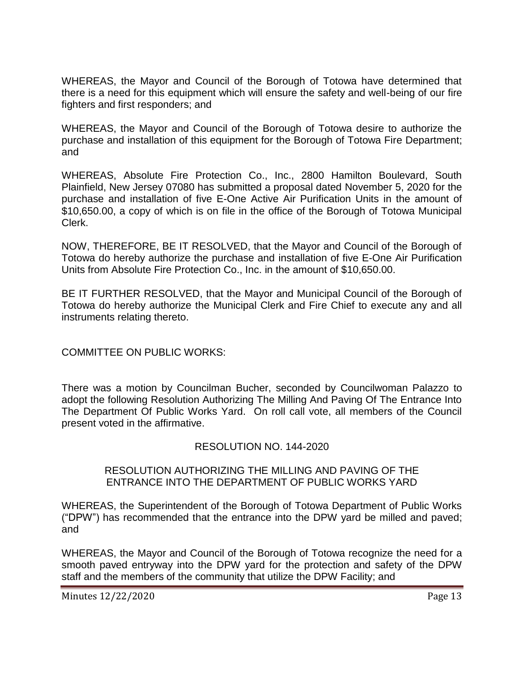WHEREAS, the Mayor and Council of the Borough of Totowa have determined that there is a need for this equipment which will ensure the safety and well-being of our fire fighters and first responders; and

WHEREAS, the Mayor and Council of the Borough of Totowa desire to authorize the purchase and installation of this equipment for the Borough of Totowa Fire Department; and

WHEREAS, Absolute Fire Protection Co., Inc., 2800 Hamilton Boulevard, South Plainfield, New Jersey 07080 has submitted a proposal dated November 5, 2020 for the purchase and installation of five E-One Active Air Purification Units in the amount of \$10,650.00, a copy of which is on file in the office of the Borough of Totowa Municipal Clerk.

NOW, THEREFORE, BE IT RESOLVED, that the Mayor and Council of the Borough of Totowa do hereby authorize the purchase and installation of five E-One Air Purification Units from Absolute Fire Protection Co., Inc. in the amount of \$10,650.00.

BE IT FURTHER RESOLVED, that the Mayor and Municipal Council of the Borough of Totowa do hereby authorize the Municipal Clerk and Fire Chief to execute any and all instruments relating thereto.

COMMITTEE ON PUBLIC WORKS:

There was a motion by Councilman Bucher, seconded by Councilwoman Palazzo to adopt the following Resolution Authorizing The Milling And Paving Of The Entrance Into The Department Of Public Works Yard. On roll call vote, all members of the Council present voted in the affirmative.

# RESOLUTION NO. 144-2020

# RESOLUTION AUTHORIZING THE MILLING AND PAVING OF THE ENTRANCE INTO THE DEPARTMENT OF PUBLIC WORKS YARD

WHEREAS, the Superintendent of the Borough of Totowa Department of Public Works ("DPW") has recommended that the entrance into the DPW yard be milled and paved; and

WHEREAS, the Mayor and Council of the Borough of Totowa recognize the need for a smooth paved entryway into the DPW yard for the protection and safety of the DPW staff and the members of the community that utilize the DPW Facility; and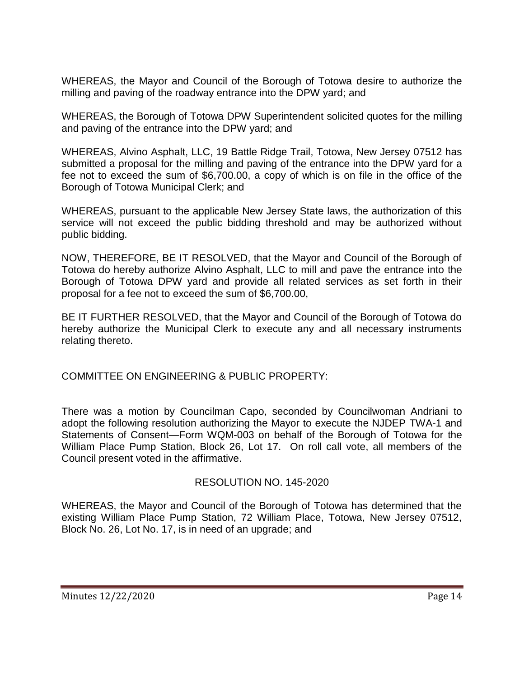WHEREAS, the Mayor and Council of the Borough of Totowa desire to authorize the milling and paving of the roadway entrance into the DPW yard; and

WHEREAS, the Borough of Totowa DPW Superintendent solicited quotes for the milling and paving of the entrance into the DPW yard; and

WHEREAS, Alvino Asphalt, LLC, 19 Battle Ridge Trail, Totowa, New Jersey 07512 has submitted a proposal for the milling and paving of the entrance into the DPW yard for a fee not to exceed the sum of \$6,700.00, a copy of which is on file in the office of the Borough of Totowa Municipal Clerk; and

WHEREAS, pursuant to the applicable New Jersey State laws, the authorization of this service will not exceed the public bidding threshold and may be authorized without public bidding.

NOW, THEREFORE, BE IT RESOLVED, that the Mayor and Council of the Borough of Totowa do hereby authorize Alvino Asphalt, LLC to mill and pave the entrance into the Borough of Totowa DPW yard and provide all related services as set forth in their proposal for a fee not to exceed the sum of \$6,700.00,

BE IT FURTHER RESOLVED, that the Mayor and Council of the Borough of Totowa do hereby authorize the Municipal Clerk to execute any and all necessary instruments relating thereto.

COMMITTEE ON ENGINEERING & PUBLIC PROPERTY:

There was a motion by Councilman Capo, seconded by Councilwoman Andriani to adopt the following resolution authorizing the Mayor to execute the NJDEP TWA-1 and Statements of Consent—Form WQM-003 on behalf of the Borough of Totowa for the William Place Pump Station, Block 26, Lot 17. On roll call vote, all members of the Council present voted in the affirmative.

# RESOLUTION NO. 145-2020

WHEREAS, the Mayor and Council of the Borough of Totowa has determined that the existing William Place Pump Station, 72 William Place, Totowa, New Jersey 07512, Block No. 26, Lot No. 17, is in need of an upgrade; and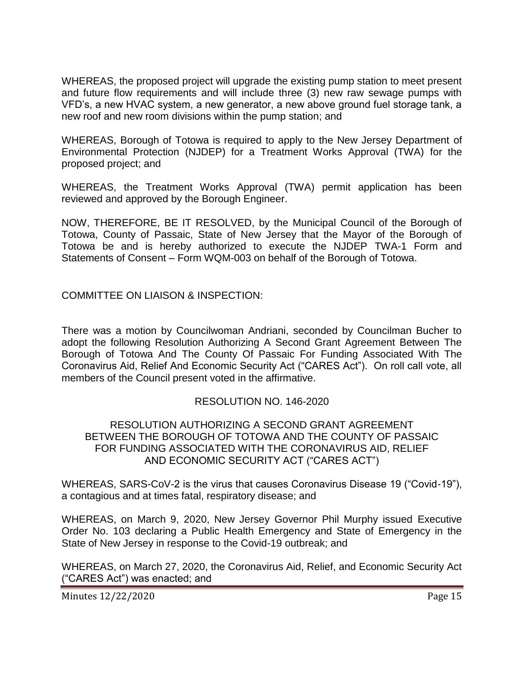WHEREAS, the proposed project will upgrade the existing pump station to meet present and future flow requirements and will include three (3) new raw sewage pumps with VFD's, a new HVAC system, a new generator, a new above ground fuel storage tank, a new roof and new room divisions within the pump station; and

WHEREAS, Borough of Totowa is required to apply to the New Jersey Department of Environmental Protection (NJDEP) for a Treatment Works Approval (TWA) for the proposed project; and

WHEREAS, the Treatment Works Approval (TWA) permit application has been reviewed and approved by the Borough Engineer.

NOW, THEREFORE, BE IT RESOLVED, by the Municipal Council of the Borough of Totowa, County of Passaic, State of New Jersey that the Mayor of the Borough of Totowa be and is hereby authorized to execute the NJDEP TWA-1 Form and Statements of Consent – Form WQM-003 on behalf of the Borough of Totowa.

COMMITTEE ON LIAISON & INSPECTION:

There was a motion by Councilwoman Andriani, seconded by Councilman Bucher to adopt the following Resolution Authorizing A Second Grant Agreement Between The Borough of Totowa And The County Of Passaic For Funding Associated With The Coronavirus Aid, Relief And Economic Security Act ("CARES Act"). On roll call vote, all members of the Council present voted in the affirmative.

### RESOLUTION NO. 146-2020

### RESOLUTION AUTHORIZING A SECOND GRANT AGREEMENT BETWEEN THE BOROUGH OF TOTOWA AND THE COUNTY OF PASSAIC FOR FUNDING ASSOCIATED WITH THE CORONAVIRUS AID, RELIEF AND ECONOMIC SECURITY ACT ("CARES ACT")

WHEREAS, SARS-CoV-2 is the virus that causes Coronavirus Disease 19 ("Covid-19"), a contagious and at times fatal, respiratory disease; and

WHEREAS, on March 9, 2020, New Jersey Governor Phil Murphy issued Executive Order No. 103 declaring a Public Health Emergency and State of Emergency in the State of New Jersey in response to the Covid-19 outbreak; and

WHEREAS, on March 27, 2020, the Coronavirus Aid, Relief, and Economic Security Act (―CARES Act‖) was enacted; and

Minutes 12/22/2020 Page 15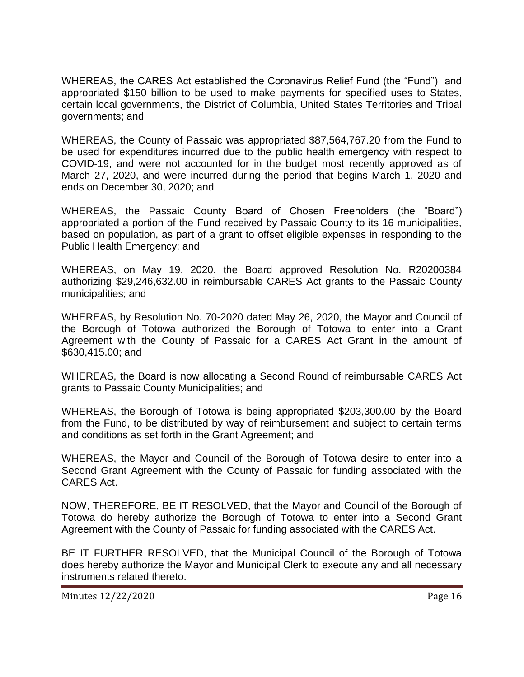WHEREAS, the CARES Act established the Coronavirus Relief Fund (the "Fund") and appropriated \$150 billion to be used to make payments for specified uses to States, certain local governments, the District of Columbia, United States Territories and Tribal governments; and

WHEREAS, the County of Passaic was appropriated \$87,564,767.20 from the Fund to be used for expenditures incurred due to the public health emergency with respect to COVID-19, and were not accounted for in the budget most recently approved as of March 27, 2020, and were incurred during the period that begins March 1, 2020 and ends on December 30, 2020; and

WHEREAS, the Passaic County Board of Chosen Freeholders (the "Board") appropriated a portion of the Fund received by Passaic County to its 16 municipalities, based on population, as part of a grant to offset eligible expenses in responding to the Public Health Emergency; and

WHEREAS, on May 19, 2020, the Board approved Resolution No. R20200384 authorizing \$29,246,632.00 in reimbursable CARES Act grants to the Passaic County municipalities; and

WHEREAS, by Resolution No. 70-2020 dated May 26, 2020, the Mayor and Council of the Borough of Totowa authorized the Borough of Totowa to enter into a Grant Agreement with the County of Passaic for a CARES Act Grant in the amount of \$630,415.00; and

WHEREAS, the Board is now allocating a Second Round of reimbursable CARES Act grants to Passaic County Municipalities; and

WHEREAS, the Borough of Totowa is being appropriated \$203,300.00 by the Board from the Fund, to be distributed by way of reimbursement and subject to certain terms and conditions as set forth in the Grant Agreement; and

WHEREAS, the Mayor and Council of the Borough of Totowa desire to enter into a Second Grant Agreement with the County of Passaic for funding associated with the CARES Act.

NOW, THEREFORE, BE IT RESOLVED, that the Mayor and Council of the Borough of Totowa do hereby authorize the Borough of Totowa to enter into a Second Grant Agreement with the County of Passaic for funding associated with the CARES Act.

BE IT FURTHER RESOLVED, that the Municipal Council of the Borough of Totowa does hereby authorize the Mayor and Municipal Clerk to execute any and all necessary instruments related thereto.